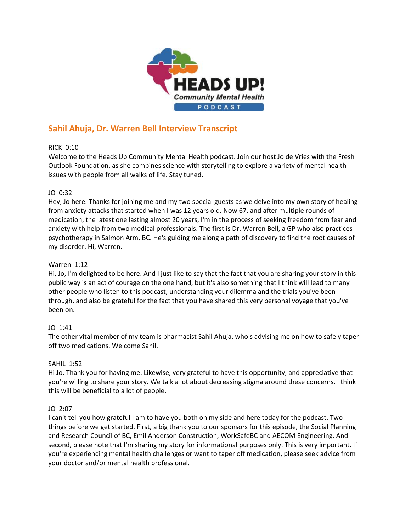

# **Sahil Ahuja, Dr. Warren Bell Interview Transcript**

# RICK 0:10

Welcome to the Heads Up Community Mental Health podcast. Join our host Jo de Vries with the Fresh Outlook Foundation, as she combines science with storytelling to explore a variety of mental health issues with people from all walks of life. Stay tuned.

# JO 0:32

Hey, Jo here. Thanks for joining me and my two special guests as we delve into my own story of healing from anxiety attacks that started when I was 12 years old. Now 67, and after multiple rounds of medication, the latest one lasting almost 20 years, I'm in the process of seeking freedom from fear and anxiety with help from two medical professionals. The first is Dr. Warren Bell, a GP who also practices psychotherapy in Salmon Arm, BC. He's guiding me along a path of discovery to find the root causes of my disorder. Hi, Warren.

# Warren 1:12

Hi, Jo, I'm delighted to be here. And I just like to say that the fact that you are sharing your story in this public way is an act of courage on the one hand, but it's also something that I think will lead to many other people who listen to this podcast, understanding your dilemma and the trials you've been through, and also be grateful for the fact that you have shared this very personal voyage that you've been on.

# JO 1:41

The other vital member of my team is pharmacist Sahil Ahuja, who's advising me on how to safely taper off two medications. Welcome Sahil.

# SAHIL 1:52

Hi Jo. Thank you for having me. Likewise, very grateful to have this opportunity, and appreciative that you're willing to share your story. We talk a lot about decreasing stigma around these concerns. I think this will be beneficial to a lot of people.

# JO 2:07

I can't tell you how grateful I am to have you both on my side and here today for the podcast. Two things before we get started. First, a big thank you to our sponsors for this episode, the Social Planning and Research Council of BC, Emil Anderson Construction, WorkSafeBC and AECOM Engineering. And second, please note that I'm sharing my story for informational purposes only. This is very important. If you're experiencing mental health challenges or want to taper off medication, please seek advice from your doctor and/or mental health professional.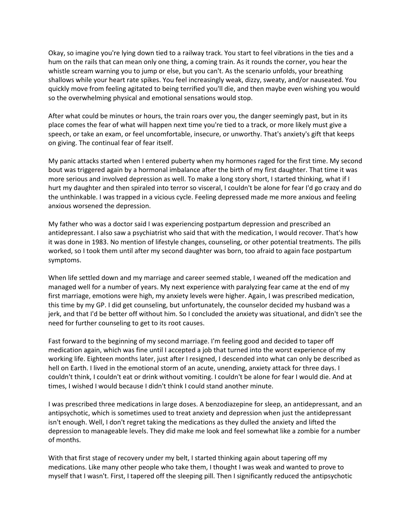Okay, so imagine you're lying down tied to a railway track. You start to feel vibrations in the ties and a hum on the rails that can mean only one thing, a coming train. As it rounds the corner, you hear the whistle scream warning you to jump or else, but you can't. As the scenario unfolds, your breathing shallows while your heart rate spikes. You feel increasingly weak, dizzy, sweaty, and/or nauseated. You quickly move from feeling agitated to being terrified you'll die, and then maybe even wishing you would so the overwhelming physical and emotional sensations would stop.

After what could be minutes or hours, the train roars over you, the danger seemingly past, but in its place comes the fear of what will happen next time you're tied to a track, or more likely must give a speech, or take an exam, or feel uncomfortable, insecure, or unworthy. That's anxiety's gift that keeps on giving. The continual fear of fear itself.

My panic attacks started when I entered puberty when my hormones raged for the first time. My second bout was triggered again by a hormonal imbalance after the birth of my first daughter. That time it was more serious and involved depression as well. To make a long story short, I started thinking, what if I hurt my daughter and then spiraled into terror so visceral, I couldn't be alone for fear I'd go crazy and do the unthinkable. I was trapped in a vicious cycle. Feeling depressed made me more anxious and feeling anxious worsened the depression.

My father who was a doctor said I was experiencing postpartum depression and prescribed an antidepressant. I also saw a psychiatrist who said that with the medication, I would recover. That's how it was done in 1983. No mention of lifestyle changes, counseling, or other potential treatments. The pills worked, so I took them until after my second daughter was born, too afraid to again face postpartum symptoms.

When life settled down and my marriage and career seemed stable, I weaned off the medication and managed well for a number of years. My next experience with paralyzing fear came at the end of my first marriage, emotions were high, my anxiety levels were higher. Again, I was prescribed medication, this time by my GP. I did get counseling, but unfortunately, the counselor decided my husband was a jerk, and that I'd be better off without him. So I concluded the anxiety was situational, and didn't see the need for further counseling to get to its root causes.

Fast forward to the beginning of my second marriage. I'm feeling good and decided to taper off medication again, which was fine until I accepted a job that turned into the worst experience of my working life. Eighteen months later, just after I resigned, I descended into what can only be described as hell on Earth. I lived in the emotional storm of an acute, unending, anxiety attack for three days. I couldn't think, I couldn't eat or drink without vomiting. I couldn't be alone for fear I would die. And at times, I wished I would because I didn't think I could stand another minute.

I was prescribed three medications in large doses. A benzodiazepine for sleep, an antidepressant, and an antipsychotic, which is sometimes used to treat anxiety and depression when just the antidepressant isn't enough. Well, I don't regret taking the medications as they dulled the anxiety and lifted the depression to manageable levels. They did make me look and feel somewhat like a zombie for a number of months.

With that first stage of recovery under my belt, I started thinking again about tapering off my medications. Like many other people who take them, I thought I was weak and wanted to prove to myself that I wasn't. First, I tapered off the sleeping pill. Then I significantly reduced the antipsychotic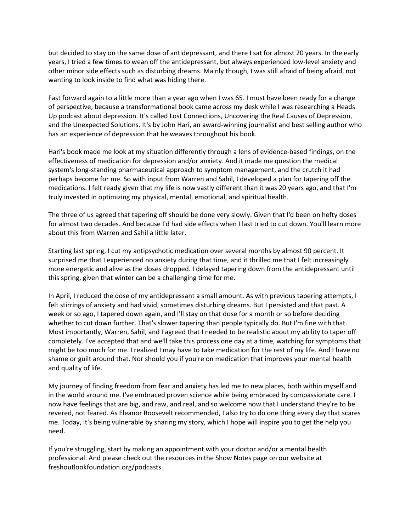but decided to stay on the same dose of antidepressant, and there I sat for almost 20 years. In the early years, I tried a few times to wean off the antidepressant, but always experienced low-level anxiety and other minor side effects such as disturbing dreams. Mainly though, I was still afraid of being afraid, not wanting to look inside to find what was hiding there.

Fast forward again to a little more than a year ago when I was 65. I must have been ready for a change of perspective, because a transformational book came across my desk while I was researching a Heads Up podcast about depression. It's called Lost Connections, Uncovering the Real Causes of Depression, and the Unexpected Solutions. It's by John Hari, an award-winning journalist and best selling author who has an experience of depression that he weaves throughout his book.

Hari's book made me look at my situation differently through a lens of evidence-based findings, on the effectiveness of medication for depression and/or anxiety. And it made me question the medical system's long-standing pharmaceutical approach to symptom management, and the crutch it had perhaps become for me. So with input from Warren and Sahil, I developed a plan for tapering off the medications. I felt ready given that my life is now vastly different than it was 20 years ago, and that I'm truly invested in optimizing my physical, mental, emotional, and spiritual health.

The three of us agreed that tapering off should be done very slowly. Given that I'd been on hefty doses for almost two decades. And because I'd had side effects when I last tried to cut down. You'll learn more about this from Warren and Sahil a little later.

Starting last spring, I cut my antipsychotic medication over several months by almost 90 percent. It surprised me that I experienced no anxiety during that time, and it thrilled me that I felt increasingly more energetic and alive as the doses dropped. I delayed tapering down from the antidepressant until this spring, given that winter can be a challenging time for me.

In April, I reduced the dose of my antidepressant a small amount. As with previous tapering attempts, I felt stirrings of anxiety and had vivid, sometimes disturbing dreams. But I persisted and that past. A week or so ago, I tapered down again, and I'll stay on that dose for a month or so before deciding whether to cut down further. That's slower tapering than people typically do. But I'm fine with that. Most importantly, Warren, Sahil, and I agreed that I needed to be realistic about my ability to taper off completely. I've accepted that and we'll take this process one day at a time, watching for symptoms that might be too much for me. I realized I may have to take medication for the rest of my life. And I have no shame or guilt around that. Nor should you if you're on medication that improves your mental health and quality of life.

My journey of finding freedom from fear and anxiety has led me to new places, both within myself and in the world around me. I've embraced proven science while being embraced by compassionate care. I now have feelings that are big, and raw, and real, and so welcome now that I understand they're to be revered, not feared. As Eleanor Roosevelt recommended, I also try to do one thing every day that scares me. Today, it's being vulnerable by sharing my story, which I hope will inspire you to get the help you need.

If you're struggling, start by making an appointment with your doctor and/or a mental health professional. And please check out the resources in the Show Notes page on our website at freshoutlookfoundation.org/podcasts.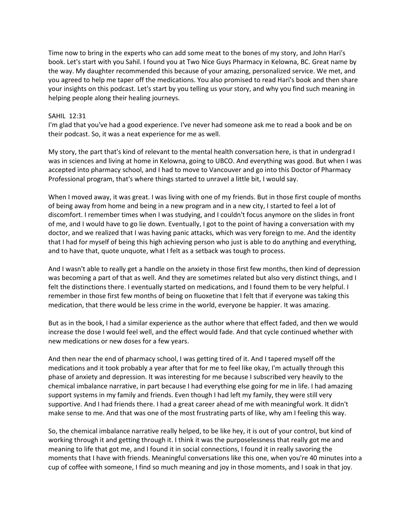Time now to bring in the experts who can add some meat to the bones of my story, and John Hari's book. Let's start with you Sahil. I found you at Two Nice Guys Pharmacy in Kelowna, BC. Great name by the way. My daughter recommended this because of your amazing, personalized service. We met, and you agreed to help me taper off the medications. You also promised to read Hari's book and then share your insights on this podcast. Let's start by you telling us your story, and why you find such meaning in helping people along their healing journeys.

# SAHIL 12:31

I'm glad that you've had a good experience. I've never had someone ask me to read a book and be on their podcast. So, it was a neat experience for me as well.

My story, the part that's kind of relevant to the mental health conversation here, is that in undergrad I was in sciences and living at home in Kelowna, going to UBCO. And everything was good. But when I was accepted into pharmacy school, and I had to move to Vancouver and go into this Doctor of Pharmacy Professional program, that's where things started to unravel a little bit, I would say.

When I moved away, it was great. I was living with one of my friends. But in those first couple of months of being away from home and being in a new program and in a new city, I started to feel a lot of discomfort. I remember times when I was studying, and I couldn't focus anymore on the slides in front of me, and I would have to go lie down. Eventually, I got to the point of having a conversation with my doctor, and we realized that I was having panic attacks, which was very foreign to me. And the identity that I had for myself of being this high achieving person who just is able to do anything and everything, and to have that, quote unquote, what I felt as a setback was tough to process.

And I wasn't able to really get a handle on the anxiety in those first few months, then kind of depression was becoming a part of that as well. And they are sometimes related but also very distinct things, and I felt the distinctions there. I eventually started on medications, and I found them to be very helpful. I remember in those first few months of being on fluoxetine that I felt that if everyone was taking this medication, that there would be less crime in the world, everyone be happier. It was amazing.

But as in the book, I had a similar experience as the author where that effect faded, and then we would increase the dose I would feel well, and the effect would fade. And that cycle continued whether with new medications or new doses for a few years.

And then near the end of pharmacy school, I was getting tired of it. And I tapered myself off the medications and it took probably a year after that for me to feel like okay, I'm actually through this phase of anxiety and depression. It was interesting for me because I subscribed very heavily to the chemical imbalance narrative, in part because I had everything else going for me in life. I had amazing support systems in my family and friends. Even though I had left my family, they were still very supportive. And I had friends there. I had a great career ahead of me with meaningful work. It didn't make sense to me. And that was one of the most frustrating parts of like, why am I feeling this way.

So, the chemical imbalance narrative really helped, to be like hey, it is out of your control, but kind of working through it and getting through it. I think it was the purposelessness that really got me and meaning to life that got me, and I found it in social connections, I found it in really savoring the moments that I have with friends. Meaningful conversations like this one, when you're 40 minutes into a cup of coffee with someone, I find so much meaning and joy in those moments, and I soak in that joy.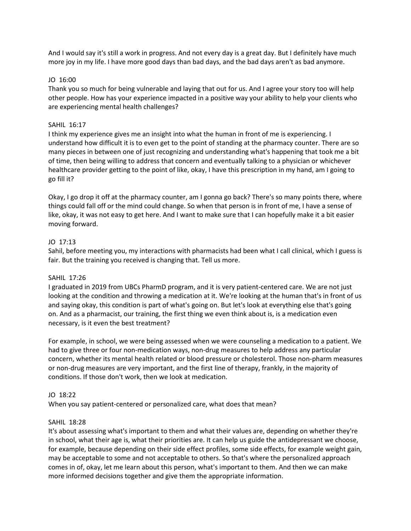And I would say it's still a work in progress. And not every day is a great day. But I definitely have much more joy in my life. I have more good days than bad days, and the bad days aren't as bad anymore.

## JO 16:00

Thank you so much for being vulnerable and laying that out for us. And I agree your story too will help other people. How has your experience impacted in a positive way your ability to help your clients who are experiencing mental health challenges?

#### SAHIL 16:17

I think my experience gives me an insight into what the human in front of me is experiencing. I understand how difficult it is to even get to the point of standing at the pharmacy counter. There are so many pieces in between one of just recognizing and understanding what's happening that took me a bit of time, then being willing to address that concern and eventually talking to a physician or whichever healthcare provider getting to the point of like, okay, I have this prescription in my hand, am I going to go fill it?

Okay, I go drop it off at the pharmacy counter, am I gonna go back? There's so many points there, where things could fall off or the mind could change. So when that person is in front of me, I have a sense of like, okay, it was not easy to get here. And I want to make sure that I can hopefully make it a bit easier moving forward.

# JO 17:13

Sahil, before meeting you, my interactions with pharmacists had been what I call clinical, which I guess is fair. But the training you received is changing that. Tell us more.

#### SAHIL 17:26

I graduated in 2019 from UBCs PharmD program, and it is very patient-centered care. We are not just looking at the condition and throwing a medication at it. We're looking at the human that's in front of us and saying okay, this condition is part of what's going on. But let's look at everything else that's going on. And as a pharmacist, our training, the first thing we even think about is, is a medication even necessary, is it even the best treatment?

For example, in school, we were being assessed when we were counseling a medication to a patient. We had to give three or four non-medication ways, non-drug measures to help address any particular concern, whether its mental health related or blood pressure or cholesterol. Those non-pharm measures or non-drug measures are very important, and the first line of therapy, frankly, in the majority of conditions. If those don't work, then we look at medication.

#### JO 18:22

When you say patient-centered or personalized care, what does that mean?

#### SAHIL 18:28

It's about assessing what's important to them and what their values are, depending on whether they're in school, what their age is, what their priorities are. It can help us guide the antidepressant we choose, for example, because depending on their side effect profiles, some side effects, for example weight gain, may be acceptable to some and not acceptable to others. So that's where the personalized approach comes in of, okay, let me learn about this person, what's important to them. And then we can make more informed decisions together and give them the appropriate information.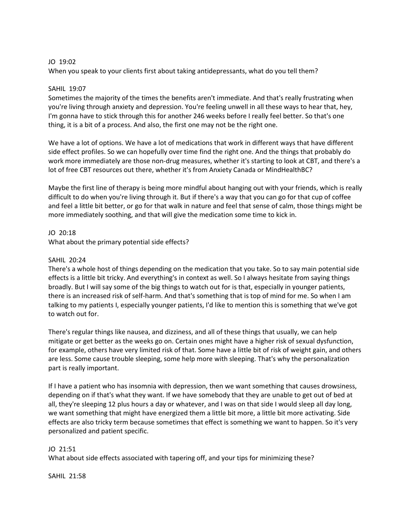# JO 19:02

When you speak to your clients first about taking antidepressants, what do you tell them?

#### SAHIL 19:07

Sometimes the majority of the times the benefits aren't immediate. And that's really frustrating when you're living through anxiety and depression. You're feeling unwell in all these ways to hear that, hey, I'm gonna have to stick through this for another 246 weeks before I really feel better. So that's one thing, it is a bit of a process. And also, the first one may not be the right one.

We have a lot of options. We have a lot of medications that work in different ways that have different side effect profiles. So we can hopefully over time find the right one. And the things that probably do work more immediately are those non-drug measures, whether it's starting to look at CBT, and there's a lot of free CBT resources out there, whether it's from Anxiety Canada or MindHealthBC?

Maybe the first line of therapy is being more mindful about hanging out with your friends, which is really difficult to do when you're living through it. But if there's a way that you can go for that cup of coffee and feel a little bit better, or go for that walk in nature and feel that sense of calm, those things might be more immediately soothing, and that will give the medication some time to kick in.

#### JO 20:18

What about the primary potential side effects?

#### SAHIL 20:24

There's a whole host of things depending on the medication that you take. So to say main potential side effects is a little bit tricky. And everything's in context as well. So I always hesitate from saying things broadly. But I will say some of the big things to watch out for is that, especially in younger patients, there is an increased risk of self-harm. And that's something that is top of mind for me. So when I am talking to my patients I, especially younger patients, I'd like to mention this is something that we've got to watch out for.

There's regular things like nausea, and dizziness, and all of these things that usually, we can help mitigate or get better as the weeks go on. Certain ones might have a higher risk of sexual dysfunction, for example, others have very limited risk of that. Some have a little bit of risk of weight gain, and others are less. Some cause trouble sleeping, some help more with sleeping. That's why the personalization part is really important.

If I have a patient who has insomnia with depression, then we want something that causes drowsiness, depending on if that's what they want. If we have somebody that they are unable to get out of bed at all, they're sleeping 12 plus hours a day or whatever, and I was on that side I would sleep all day long, we want something that might have energized them a little bit more, a little bit more activating. Side effects are also tricky term because sometimes that effect is something we want to happen. So it's very personalized and patient specific.

#### JO 21:51

What about side effects associated with tapering off, and your tips for minimizing these?

#### SAHIL 21:58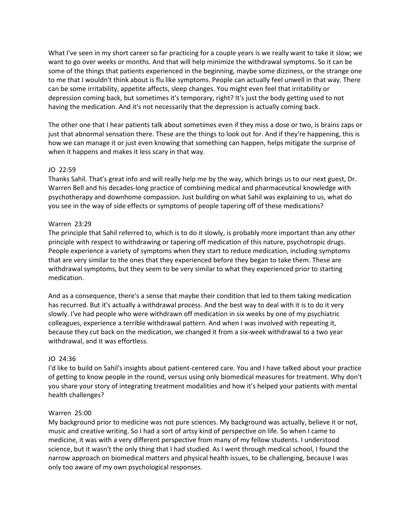What I've seen in my short career so far practicing for a couple years is we really want to take it slow; we want to go over weeks or months. And that will help minimize the withdrawal symptoms. So it can be some of the things that patients experienced in the beginning, maybe some dizziness, or the strange one to me that I wouldn't think about is flu like symptoms. People can actually feel unwell in that way. There can be some irritability, appetite affects, sleep changes. You might even feel that irritability or depression coming back, but sometimes it's temporary, right? It's just the body getting used to not having the medication. And it's not necessarily that the depression is actually coming back.

The other one that I hear patients talk about sometimes even if they miss a dose or two, is brains zaps or just that abnormal sensation there. These are the things to look out for. And if they're happening, this is how we can manage it or just even knowing that something can happen, helps mitigate the surprise of when it happens and makes it less scary in that way.

# JO 22:59

Thanks Sahil. That's great info and will really help me by the way, which brings us to our next guest, Dr. Warren Bell and his decades-long practice of combining medical and pharmaceutical knowledge with psychotherapy and downhome compassion. Just building on what Sahil was explaining to us, what do you see in the way of side effects or symptoms of people tapering off of these medications?

#### Warren 23:29

The principle that Sahil referred to, which is to do it slowly, is probably more important than any other principle with respect to withdrawing or tapering off medication of this nature, psychotropic drugs. People experience a variety of symptoms when they start to reduce medication, including symptoms that are very similar to the ones that they experienced before they began to take them. These are withdrawal symptoms, but they seem to be very similar to what they experienced prior to starting medication.

And as a consequence, there's a sense that maybe their condition that led to them taking medication has recurred. But it's actually a withdrawal process. And the best way to deal with it is to do it very slowly. I've had people who were withdrawn off medication in six weeks by one of my psychiatric colleagues, experience a terrible withdrawal pattern. And when I was involved with repeating it, because they cut back on the medication, we changed it from a six-week withdrawal to a two year withdrawal, and it was effortless.

#### JO 24:36

I'd like to build on Sahil's insights about patient-centered care. You and I have talked about your practice of getting to know people in the round, versus using only biomedical measures for treatment. Why don't you share your story of integrating treatment modalities and how it's helped your patients with mental health challenges?

#### Warren 25:00

My background prior to medicine was not pure sciences. My background was actually, believe it or not, music and creative writing. So I had a sort of artsy kind of perspective on life. So when I came to medicine, it was with a very different perspective from many of my fellow students. I understood science, but it wasn't the only thing that I had studied. As I went through medical school, I found the narrow approach on biomedical matters and physical health issues, to be challenging, because I was only too aware of my own psychological responses.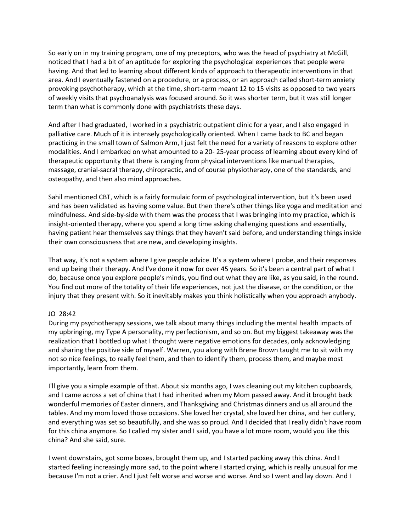So early on in my training program, one of my preceptors, who was the head of psychiatry at McGill, noticed that I had a bit of an aptitude for exploring the psychological experiences that people were having. And that led to learning about different kinds of approach to therapeutic interventions in that area. And I eventually fastened on a procedure, or a process, or an approach called short-term anxiety provoking psychotherapy, which at the time, short-term meant 12 to 15 visits as opposed to two years of weekly visits that psychoanalysis was focused around. So it was shorter term, but it was still longer term than what is commonly done with psychiatrists these days.

And after I had graduated, I worked in a psychiatric outpatient clinic for a year, and I also engaged in palliative care. Much of it is intensely psychologically oriented. When I came back to BC and began practicing in the small town of Salmon Arm, I just felt the need for a variety of reasons to explore other modalities. And I embarked on what amounted to a 20- 25-year process of learning about every kind of therapeutic opportunity that there is ranging from physical interventions like manual therapies, massage, cranial-sacral therapy, chiropractic, and of course physiotherapy, one of the standards, and osteopathy, and then also mind approaches.

Sahil mentioned CBT, which is a fairly formulaic form of psychological intervention, but it's been used and has been validated as having some value. But then there's other things like yoga and meditation and mindfulness. And side-by-side with them was the process that I was bringing into my practice, which is insight-oriented therapy, where you spend a long time asking challenging questions and essentially, having patient hear themselves say things that they haven't said before, and understanding things inside their own consciousness that are new, and developing insights.

That way, it's not a system where I give people advice. It's a system where I probe, and their responses end up being their therapy. And I've done it now for over 45 years. So it's been a central part of what I do, because once you explore people's minds, you find out what they are like, as you said, in the round. You find out more of the totality of their life experiences, not just the disease, or the condition, or the injury that they present with. So it inevitably makes you think holistically when you approach anybody.

# JO 28:42

During my psychotherapy sessions, we talk about many things including the mental health impacts of my upbringing, my Type A personality, my perfectionism, and so on. But my biggest takeaway was the realization that I bottled up what I thought were negative emotions for decades, only acknowledging and sharing the positive side of myself. Warren, you along with Brene Brown taught me to sit with my not so nice feelings, to really feel them, and then to identify them, process them, and maybe most importantly, learn from them.

I'll give you a simple example of that. About six months ago, I was cleaning out my kitchen cupboards, and I came across a set of china that I had inherited when my Mom passed away. And it brought back wonderful memories of Easter dinners, and Thanksgiving and Christmas dinners and us all around the tables. And my mom loved those occasions. She loved her crystal, she loved her china, and her cutlery, and everything was set so beautifully, and she was so proud. And I decided that I really didn't have room for this china anymore. So I called my sister and I said, you have a lot more room, would you like this china? And she said, sure.

I went downstairs, got some boxes, brought them up, and I started packing away this china. And I started feeling increasingly more sad, to the point where I started crying, which is really unusual for me because I'm not a crier. And I just felt worse and worse and worse. And so I went and lay down. And I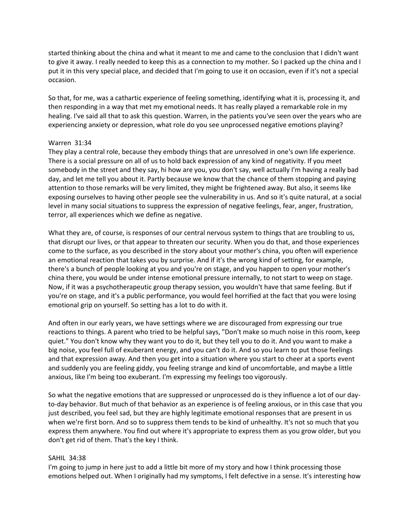started thinking about the china and what it meant to me and came to the conclusion that I didn't want to give it away. I really needed to keep this as a connection to my mother. So I packed up the china and I put it in this very special place, and decided that I'm going to use it on occasion, even if it's not a special occasion.

So that, for me, was a cathartic experience of feeling something, identifying what it is, processing it, and then responding in a way that met my emotional needs. It has really played a remarkable role in my healing. I've said all that to ask this question. Warren, in the patients you've seen over the years who are experiencing anxiety or depression, what role do you see unprocessed negative emotions playing?

#### Warren 31:34

They play a central role, because they embody things that are unresolved in one's own life experience. There is a social pressure on all of us to hold back expression of any kind of negativity. If you meet somebody in the street and they say, hi how are you, you don't say, well actually I'm having a really bad day, and let me tell you about it. Partly because we know that the chance of them stopping and paying attention to those remarks will be very limited, they might be frightened away. But also, it seems like exposing ourselves to having other people see the vulnerability in us. And so it's quite natural, at a social level in many social situations to suppress the expression of negative feelings, fear, anger, frustration, terror, all experiences which we define as negative.

What they are, of course, is responses of our central nervous system to things that are troubling to us, that disrupt our lives, or that appear to threaten our security. When you do that, and those experiences come to the surface, as you described in the story about your mother's china, you often will experience an emotional reaction that takes you by surprise. And if it's the wrong kind of setting, for example, there's a bunch of people looking at you and you're on stage, and you happen to open your mother's china there, you would be under intense emotional pressure internally, to not start to weep on stage. Now, if it was a psychotherapeutic group therapy session, you wouldn't have that same feeling. But if you're on stage, and it's a public performance, you would feel horrified at the fact that you were losing emotional grip on yourself. So setting has a lot to do with it.

And often in our early years, we have settings where we are discouraged from expressing our true reactions to things. A parent who tried to be helpful says, "Don't make so much noise in this room, keep quiet." You don't know why they want you to do it, but they tell you to do it. And you want to make a big noise, you feel full of exuberant energy, and you can't do it. And so you learn to put those feelings and that expression away. And then you get into a situation where you start to cheer at a sports event and suddenly you are feeling giddy, you feeling strange and kind of uncomfortable, and maybe a little anxious, like I'm being too exuberant. I'm expressing my feelings too vigorously.

So what the negative emotions that are suppressed or unprocessed do is they influence a lot of our dayto-day behavior. But much of that behavior as an experience is of feeling anxious, or in this case that you just described, you feel sad, but they are highly legitimate emotional responses that are present in us when we're first born. And so to suppress them tends to be kind of unhealthy. It's not so much that you express them anywhere. You find out where it's appropriate to express them as you grow older, but you don't get rid of them. That's the key I think.

# SAHIL 34:38

I'm going to jump in here just to add a little bit more of my story and how I think processing those emotions helped out. When I originally had my symptoms, I felt defective in a sense. It's interesting how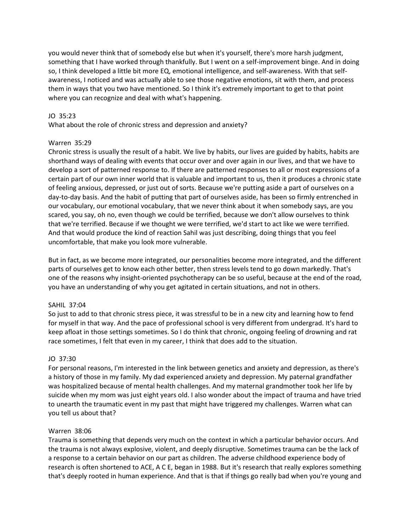you would never think that of somebody else but when it's yourself, there's more harsh judgment, something that I have worked through thankfully. But I went on a self-improvement binge. And in doing so, I think developed a little bit more EQ, emotional intelligence, and self-awareness. With that selfawareness, I noticed and was actually able to see those negative emotions, sit with them, and process them in ways that you two have mentioned. So I think it's extremely important to get to that point where you can recognize and deal with what's happening.

# JO 35:23

What about the role of chronic stress and depression and anxiety?

#### Warren 35:29

Chronic stress is usually the result of a habit. We live by habits, our lives are guided by habits, habits are shorthand ways of dealing with events that occur over and over again in our lives, and that we have to develop a sort of patterned response to. If there are patterned responses to all or most expressions of a certain part of our own inner world that is valuable and important to us, then it produces a chronic state of feeling anxious, depressed, or just out of sorts. Because we're putting aside a part of ourselves on a day-to-day basis. And the habit of putting that part of ourselves aside, has been so firmly entrenched in our vocabulary, our emotional vocabulary, that we never think about it when somebody says, are you scared, you say, oh no, even though we could be terrified, because we don't allow ourselves to think that we're terrified. Because if we thought we were terrified, we'd start to act like we were terrified. And that would produce the kind of reaction Sahil was just describing, doing things that you feel uncomfortable, that make you look more vulnerable.

But in fact, as we become more integrated, our personalities become more integrated, and the different parts of ourselves get to know each other better, then stress levels tend to go down markedly. That's one of the reasons why insight-oriented psychotherapy can be so useful, because at the end of the road, you have an understanding of why you get agitated in certain situations, and not in others.

#### SAHIL 37:04

So just to add to that chronic stress piece, it was stressful to be in a new city and learning how to fend for myself in that way. And the pace of professional school is very different from undergrad. It's hard to keep afloat in those settings sometimes. So I do think that chronic, ongoing feeling of drowning and rat race sometimes, I felt that even in my career, I think that does add to the situation.

# JO 37:30

For personal reasons, I'm interested in the link between genetics and anxiety and depression, as there's a history of those in my family. My dad experienced anxiety and depression. My paternal grandfather was hospitalized because of mental health challenges. And my maternal grandmother took her life by suicide when my mom was just eight years old. I also wonder about the impact of trauma and have tried to unearth the traumatic event in my past that might have triggered my challenges. Warren what can you tell us about that?

#### Warren 38:06

Trauma is something that depends very much on the context in which a particular behavior occurs. And the trauma is not always explosive, violent, and deeply disruptive. Sometimes trauma can be the lack of a response to a certain behavior on our part as children. The adverse childhood experience body of research is often shortened to ACE, A C E, began in 1988. But it's research that really explores something that's deeply rooted in human experience. And that is that if things go really bad when you're young and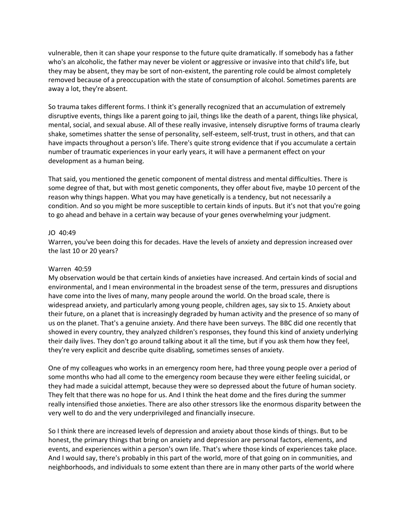vulnerable, then it can shape your response to the future quite dramatically. If somebody has a father who's an alcoholic, the father may never be violent or aggressive or invasive into that child's life, but they may be absent, they may be sort of non-existent, the parenting role could be almost completely removed because of a preoccupation with the state of consumption of alcohol. Sometimes parents are away a lot, they're absent.

So trauma takes different forms. I think it's generally recognized that an accumulation of extremely disruptive events, things like a parent going to jail, things like the death of a parent, things like physical, mental, social, and sexual abuse. All of these really invasive, intensely disruptive forms of trauma clearly shake, sometimes shatter the sense of personality, self-esteem, self-trust, trust in others, and that can have impacts throughout a person's life. There's quite strong evidence that if you accumulate a certain number of traumatic experiences in your early years, it will have a permanent effect on your development as a human being.

That said, you mentioned the genetic component of mental distress and mental difficulties. There is some degree of that, but with most genetic components, they offer about five, maybe 10 percent of the reason why things happen. What you may have genetically is a tendency, but not necessarily a condition. And so you might be more susceptible to certain kinds of inputs. But it's not that you're going to go ahead and behave in a certain way because of your genes overwhelming your judgment.

#### JO 40:49

Warren, you've been doing this for decades. Have the levels of anxiety and depression increased over the last 10 or 20 years?

#### Warren 40:59

My observation would be that certain kinds of anxieties have increased. And certain kinds of social and environmental, and I mean environmental in the broadest sense of the term, pressures and disruptions have come into the lives of many, many people around the world. On the broad scale, there is widespread anxiety, and particularly among young people, children ages, say six to 15. Anxiety about their future, on a planet that is increasingly degraded by human activity and the presence of so many of us on the planet. That's a genuine anxiety. And there have been surveys. The BBC did one recently that showed in every country, they analyzed children's responses, they found this kind of anxiety underlying their daily lives. They don't go around talking about it all the time, but if you ask them how they feel, they're very explicit and describe quite disabling, sometimes senses of anxiety.

One of my colleagues who works in an emergency room here, had three young people over a period of some months who had all come to the emergency room because they were either feeling suicidal, or they had made a suicidal attempt, because they were so depressed about the future of human society. They felt that there was no hope for us. And I think the heat dome and the fires during the summer really intensified those anxieties. There are also other stressors like the enormous disparity between the very well to do and the very underprivileged and financially insecure.

So I think there are increased levels of depression and anxiety about those kinds of things. But to be honest, the primary things that bring on anxiety and depression are personal factors, elements, and events, and experiences within a person's own life. That's where those kinds of experiences take place. And I would say, there's probably in this part of the world, more of that going on in communities, and neighborhoods, and individuals to some extent than there are in many other parts of the world where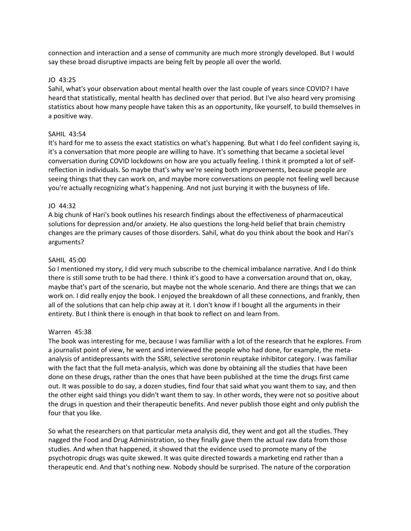connection and interaction and a sense of community are much more strongly developed. But I would say these broad disruptive impacts are being felt by people all over the world.

#### JO 43:25

Sahil, what's your observation about mental health over the last couple of years since COVID? I have heard that statistically, mental health has declined over that period. But I've also heard very promising statistics about how many people have taken this as an opportunity, like yourself, to build themselves in a positive way.

#### SAHIL 43:54

It's hard for me to assess the exact statistics on what's happening. But what I do feel confident saying is, it's a conversation that more people are willing to have. It's something that became a societal level conversation during COVID lockdowns on how are you actually feeling. I think it prompted a lot of selfreflection in individuals. So maybe that's why we're seeing both improvements, because people are seeing things that they can work on, and maybe more conversations on people not feeling well because you're actually recognizing what's happening. And not just burying it with the busyness of life.

#### JO 44:32

A big chunk of Hari's book outlines his research findings about the effectiveness of pharmaceutical solutions for depression and/or anxiety. He also questions the long-held belief that brain chemistry changes are the primary causes of those disorders. Sahil, what do you think about the book and Hari's arguments?

#### SAHIL 45:00

So I mentioned my story, I did very much subscribe to the chemical imbalance narrative. And I do think there is still some truth to be had there. I think it's good to have a conversation around that on, okay, maybe that's part of the scenario, but maybe not the whole scenario. And there are things that we can work on. I did really enjoy the book. I enjoyed the breakdown of all these connections, and frankly, then all of the solutions that can help chip away at it. I don't know if I bought all the arguments in their entirety. But I think there is enough in that book to reflect on and learn from.

# Warren 45:38

The book was interesting for me, because I was familiar with a lot of the research that he explores. From a journalist point of view, he went and interviewed the people who had done, for example, the metaanalysis of antidepressants with the SSRI, selective serotonin reuptake inhibitor category. I was familiar with the fact that the full meta-analysis, which was done by obtaining all the studies that have been done on these drugs, rather than the ones that have been published at the time the drugs first came out. It was possible to do say, a dozen studies, find four that said what you want them to say, and then the other eight said things you didn't want them to say. In other words, they were not so positive about the drugs in question and their therapeutic benefits. And never publish those eight and only publish the four that you like.

So what the researchers on that particular meta analysis did, they went and got all the studies. They nagged the Food and Drug Administration, so they finally gave them the actual raw data from those studies. And when that happened, it showed that the evidence used to promote many of the psychotropic drugs was quite skewed. It was quite directed towards a marketing end rather than a therapeutic end. And that's nothing new. Nobody should be surprised. The nature of the corporation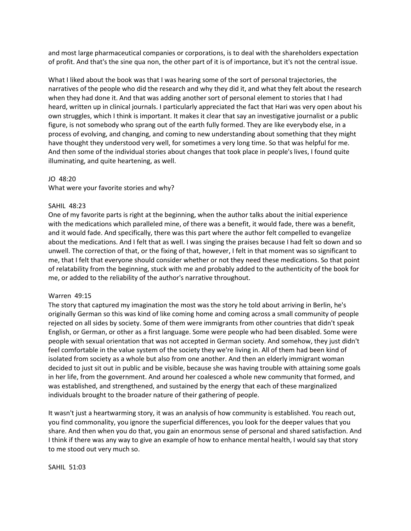and most large pharmaceutical companies or corporations, is to deal with the shareholders expectation of profit. And that's the sine qua non, the other part of it is of importance, but it's not the central issue.

What I liked about the book was that I was hearing some of the sort of personal trajectories, the narratives of the people who did the research and why they did it, and what they felt about the research when they had done it. And that was adding another sort of personal element to stories that I had heard, written up in clinical journals. I particularly appreciated the fact that Hari was very open about his own struggles, which I think is important. It makes it clear that say an investigative journalist or a public figure, is not somebody who sprang out of the earth fully formed. They are like everybody else, in a process of evolving, and changing, and coming to new understanding about something that they might have thought they understood very well, for sometimes a very long time. So that was helpful for me. And then some of the individual stories about changes that took place in people's lives, I found quite illuminating, and quite heartening, as well.

#### JO 48:20

What were your favorite stories and why?

#### SAHIL 48:23

One of my favorite parts is right at the beginning, when the author talks about the initial experience with the medications which paralleled mine, of there was a benefit, it would fade, there was a benefit, and it would fade. And specifically, there was this part where the author felt compelled to evangelize about the medications. And I felt that as well. I was singing the praises because I had felt so down and so unwell. The correction of that, or the fixing of that, however, I felt in that moment was so significant to me, that I felt that everyone should consider whether or not they need these medications. So that point of relatability from the beginning, stuck with me and probably added to the authenticity of the book for me, or added to the reliability of the author's narrative throughout.

#### Warren 49:15

The story that captured my imagination the most was the story he told about arriving in Berlin, he's originally German so this was kind of like coming home and coming across a small community of people rejected on all sides by society. Some of them were immigrants from other countries that didn't speak English, or German, or other as a first language. Some were people who had been disabled. Some were people with sexual orientation that was not accepted in German society. And somehow, they just didn't feel comfortable in the value system of the society they we're living in. All of them had been kind of isolated from society as a whole but also from one another. And then an elderly immigrant woman decided to just sit out in public and be visible, because she was having trouble with attaining some goals in her life, from the government. And around her coalesced a whole new community that formed, and was established, and strengthened, and sustained by the energy that each of these marginalized individuals brought to the broader nature of their gathering of people.

It wasn't just a heartwarming story, it was an analysis of how community is established. You reach out, you find commonality, you ignore the superficial differences, you look for the deeper values that you share. And then when you do that, you gain an enormous sense of personal and shared satisfaction. And I think if there was any way to give an example of how to enhance mental health, I would say that story to me stood out very much so.

SAHIL 51:03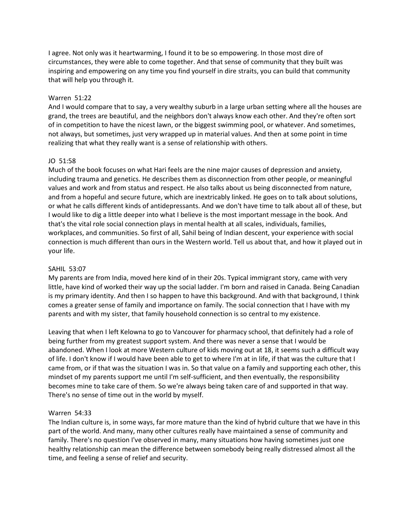I agree. Not only was it heartwarming, I found it to be so empowering. In those most dire of circumstances, they were able to come together. And that sense of community that they built was inspiring and empowering on any time you find yourself in dire straits, you can build that community that will help you through it.

#### Warren 51:22

And I would compare that to say, a very wealthy suburb in a large urban setting where all the houses are grand, the trees are beautiful, and the neighbors don't always know each other. And they're often sort of in competition to have the nicest lawn, or the biggest swimming pool, or whatever. And sometimes, not always, but sometimes, just very wrapped up in material values. And then at some point in time realizing that what they really want is a sense of relationship with others.

#### JO 51:58

Much of the book focuses on what Hari feels are the nine major causes of depression and anxiety, including trauma and genetics. He describes them as disconnection from other people, or meaningful values and work and from status and respect. He also talks about us being disconnected from nature, and from a hopeful and secure future, which are inextricably linked. He goes on to talk about solutions, or what he calls different kinds of antidepressants. And we don't have time to talk about all of these, but I would like to dig a little deeper into what I believe is the most important message in the book. And that's the vital role social connection plays in mental health at all scales, individuals, families, workplaces, and communities. So first of all, Sahil being of Indian descent, your experience with social connection is much different than ours in the Western world. Tell us about that, and how it played out in your life.

## SAHIL 53:07

My parents are from India, moved here kind of in their 20s. Typical immigrant story, came with very little, have kind of worked their way up the social ladder. I'm born and raised in Canada. Being Canadian is my primary identity. And then I so happen to have this background. And with that background, I think comes a greater sense of family and importance on family. The social connection that I have with my parents and with my sister, that family household connection is so central to my existence.

Leaving that when I left Kelowna to go to Vancouver for pharmacy school, that definitely had a role of being further from my greatest support system. And there was never a sense that I would be abandoned. When I look at more Western culture of kids moving out at 18, it seems such a difficult way of life. I don't know if I would have been able to get to where I'm at in life, if that was the culture that I came from, or if that was the situation I was in. So that value on a family and supporting each other, this mindset of my parents support me until I'm self-sufficient, and then eventually, the responsibility becomes mine to take care of them. So we're always being taken care of and supported in that way. There's no sense of time out in the world by myself.

#### Warren 54:33

The Indian culture is, in some ways, far more mature than the kind of hybrid culture that we have in this part of the world. And many, many other cultures really have maintained a sense of community and family. There's no question I've observed in many, many situations how having sometimes just one healthy relationship can mean the difference between somebody being really distressed almost all the time, and feeling a sense of relief and security.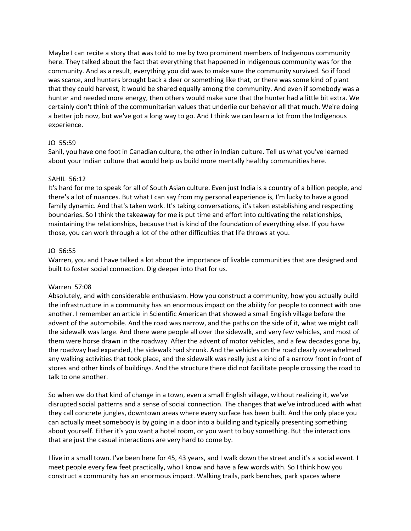Maybe I can recite a story that was told to me by two prominent members of Indigenous community here. They talked about the fact that everything that happened in Indigenous community was for the community. And as a result, everything you did was to make sure the community survived. So if food was scarce, and hunters brought back a deer or something like that, or there was some kind of plant that they could harvest, it would be shared equally among the community. And even if somebody was a hunter and needed more energy, then others would make sure that the hunter had a little bit extra. We certainly don't think of the communitarian values that underlie our behavior all that much. We're doing a better job now, but we've got a long way to go. And I think we can learn a lot from the Indigenous experience.

#### JO 55:59

Sahil, you have one foot in Canadian culture, the other in Indian culture. Tell us what you've learned about your Indian culture that would help us build more mentally healthy communities here.

#### SAHIL 56:12

It's hard for me to speak for all of South Asian culture. Even just India is a country of a billion people, and there's a lot of nuances. But what I can say from my personal experience is, I'm lucky to have a good family dynamic. And that's taken work. It's taking conversations, it's taken establishing and respecting boundaries. So I think the takeaway for me is put time and effort into cultivating the relationships, maintaining the relationships, because that is kind of the foundation of everything else. If you have those, you can work through a lot of the other difficulties that life throws at you.

#### JO 56:55

Warren, you and I have talked a lot about the importance of livable communities that are designed and built to foster social connection. Dig deeper into that for us.

#### Warren 57:08

Absolutely, and with considerable enthusiasm. How you construct a community, how you actually build the infrastructure in a community has an enormous impact on the ability for people to connect with one another. I remember an article in Scientific American that showed a small English village before the advent of the automobile. And the road was narrow, and the paths on the side of it, what we might call the sidewalk was large. And there were people all over the sidewalk, and very few vehicles, and most of them were horse drawn in the roadway. After the advent of motor vehicles, and a few decades gone by, the roadway had expanded, the sidewalk had shrunk. And the vehicles on the road clearly overwhelmed any walking activities that took place, and the sidewalk was really just a kind of a narrow front in front of stores and other kinds of buildings. And the structure there did not facilitate people crossing the road to talk to one another.

So when we do that kind of change in a town, even a small English village, without realizing it, we've disrupted social patterns and a sense of social connection. The changes that we've introduced with what they call concrete jungles, downtown areas where every surface has been built. And the only place you can actually meet somebody is by going in a door into a building and typically presenting something about yourself. Either it's you want a hotel room, or you want to buy something. But the interactions that are just the casual interactions are very hard to come by.

I live in a small town. I've been here for 45, 43 years, and I walk down the street and it's a social event. I meet people every few feet practically, who I know and have a few words with. So I think how you construct a community has an enormous impact. Walking trails, park benches, park spaces where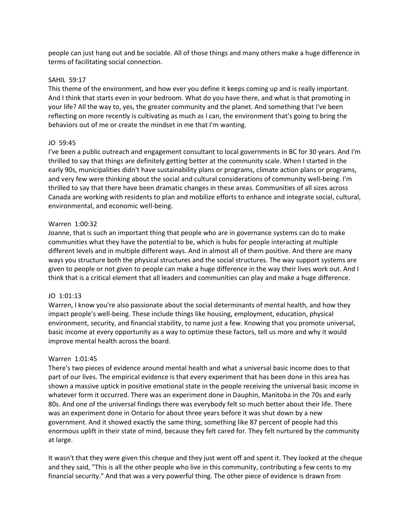people can just hang out and be sociable. All of those things and many others make a huge difference in terms of facilitating social connection.

#### SAHIL 59:17

This theme of the environment, and how ever you define it keeps coming up and is really important. And I think that starts even in your bedroom. What do you have there, and what is that promoting in your life? All the way to, yes, the greater community and the planet. And something that I've been reflecting on more recently is cultivating as much as I can, the environment that's going to bring the behaviors out of me or create the mindset in me that I'm wanting.

# JO 59:45

I've been a public outreach and engagement consultant to local governments in BC for 30 years. And I'm thrilled to say that things are definitely getting better at the community scale. When I started in the early 90s, municipalities didn't have sustainability plans or programs, climate action plans or programs, and very few were thinking about the social and cultural considerations of community well-being. I'm thrilled to say that there have been dramatic changes in these areas. Communities of all sizes across Canada are working with residents to plan and mobilize efforts to enhance and integrate social, cultural, environmental, and economic well-being.

#### Warren 1:00:32

Joanne, that is such an important thing that people who are in governance systems can do to make communities what they have the potential to be, which is hubs for people interacting at multiple different levels and in multiple different ways. And in almost all of them positive. And there are many ways you structure both the physical structures and the social structures. The way support systems are given to people or not given to people can make a huge difference in the way their lives work out. And I think that is a critical element that all leaders and communities can play and make a huge difference.

#### JO 1:01:13

Warren, I know you're also passionate about the social determinants of mental health, and how they impact people's well-being. These include things like housing, employment, education, physical environment, security, and financial stability, to name just a few. Knowing that you promote universal, basic income at every opportunity as a way to optimize these factors, tell us more and why it would improve mental health across the board.

# Warren 1:01:45

There's two pieces of evidence around mental health and what a universal basic income does to that part of our lives. The empirical evidence is that every experiment that has been done in this area has shown a massive uptick in positive emotional state in the people receiving the universal basic income in whatever form it occurred. There was an experiment done in Dauphin, Manitoba in the 70s and early 80s. And one of the universal findings there was everybody felt so much better about their life. There was an experiment done in Ontario for about three years before it was shut down by a new government. And it showed exactly the same thing, something like 87 percent of people had this enormous uplift in their state of mind, because they felt cared for. They felt nurtured by the community at large.

It wasn't that they were given this cheque and they just went off and spent it. They looked at the cheque and they said, "This is all the other people who live in this community, contributing a few cents to my financial security." And that was a very powerful thing. The other piece of evidence is drawn from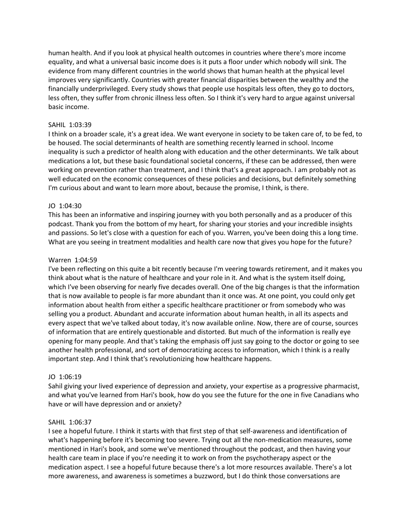human health. And if you look at physical health outcomes in countries where there's more income equality, and what a universal basic income does is it puts a floor under which nobody will sink. The evidence from many different countries in the world shows that human health at the physical level improves very significantly. Countries with greater financial disparities between the wealthy and the financially underprivileged. Every study shows that people use hospitals less often, they go to doctors, less often, they suffer from chronic illness less often. So I think it's very hard to argue against universal basic income.

## SAHIL 1:03:39

I think on a broader scale, it's a great idea. We want everyone in society to be taken care of, to be fed, to be housed. The social determinants of health are something recently learned in school. Income inequality is such a predictor of health along with education and the other determinants. We talk about medications a lot, but these basic foundational societal concerns, if these can be addressed, then were working on prevention rather than treatment, and I think that's a great approach. I am probably not as well educated on the economic consequences of these policies and decisions, but definitely something I'm curious about and want to learn more about, because the promise, I think, is there.

#### JO 1:04:30

This has been an informative and inspiring journey with you both personally and as a producer of this podcast. Thank you from the bottom of my heart, for sharing your stories and your incredible insights and passions. So let's close with a question for each of you. Warren, you've been doing this a long time. What are you seeing in treatment modalities and health care now that gives you hope for the future?

#### Warren 1:04:59

I've been reflecting on this quite a bit recently because I'm veering towards retirement, and it makes you think about what is the nature of healthcare and your role in it. And what is the system itself doing, which I've been observing for nearly five decades overall. One of the big changes is that the information that is now available to people is far more abundant than it once was. At one point, you could only get information about health from either a specific healthcare practitioner or from somebody who was selling you a product. Abundant and accurate information about human health, in all its aspects and every aspect that we've talked about today, it's now available online. Now, there are of course, sources of information that are entirely questionable and distorted. But much of the information is really eye opening for many people. And that's taking the emphasis off just say going to the doctor or going to see another health professional, and sort of democratizing access to information, which I think is a really important step. And I think that's revolutionizing how healthcare happens.

# JO 1:06:19

Sahil giving your lived experience of depression and anxiety, your expertise as a progressive pharmacist, and what you've learned from Hari's book, how do you see the future for the one in five Canadians who have or will have depression and or anxiety?

#### SAHIL 1:06:37

I see a hopeful future. I think it starts with that first step of that self-awareness and identification of what's happening before it's becoming too severe. Trying out all the non-medication measures, some mentioned in Hari's book, and some we've mentioned throughout the podcast, and then having your health care team in place if you're needing it to work on from the psychotherapy aspect or the medication aspect. I see a hopeful future because there's a lot more resources available. There's a lot more awareness, and awareness is sometimes a buzzword, but I do think those conversations are